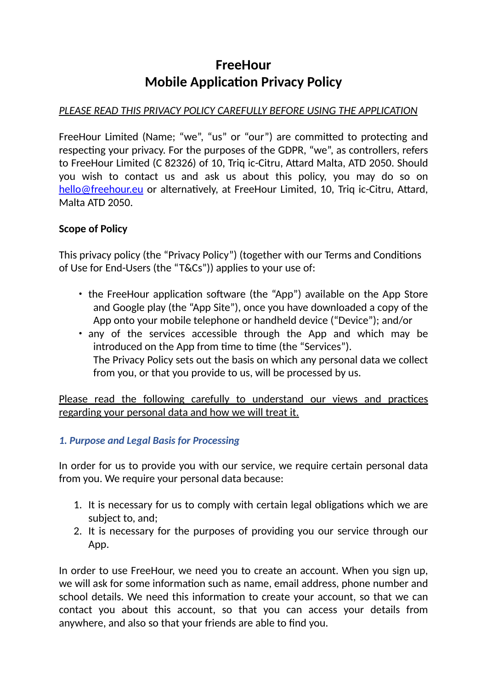# **FreeHour Mobile Application Privacy Policy**

## *PLEASE READ THIS PRIVACY POLICY CAREFULLY BEFORE USING THE APPLICATION*

FreeHour Limited (Name; "we", "us" or "our") are committed to protecting and respecting your privacy. For the purposes of the GDPR, "we", as controllers, refers to FreeHour Limited (C 82326) of 10, Triq ic-Citru, Attard Malta, ATD 2050. Should you wish to contact us and ask us about this policy, you may do so on [hello@freehour.eu](mailto:hello@freehour.eu) or alternatively, at FreeHour Limited, 10, Triq ic-Citru, Attard, Malta ATD 2050.

## **Scope of Policy**

This privacy policy (the "Privacy Policy") (together with our Terms and Conditions of Use for End-Users (the "T&Cs")) applies to your use of:

- the FreeHour application software (the "App") available on the App Store and Google play (the "App Site"), once you have downloaded a copy of the App onto your mobile telephone or handheld device ("Device"); and/or
- any of the services accessible through the App and which may be introduced on the App from time to time (the "Services"). The Privacy Policy sets out the basis on which any personal data we collect from you, or that you provide to us, will be processed by us.

Please read the following carefully to understand our views and practices regarding your personal data and how we will treat it.

## *1. Purpose and Legal Basis for Processing*

In order for us to provide you with our service, we require certain personal data from you. We require your personal data because:

- 1. It is necessary for us to comply with certain legal obligations which we are subject to, and;
- 2. It is necessary for the purposes of providing you our service through our App.

In order to use FreeHour, we need you to create an account. When you sign up, we will ask for some information such as name, email address, phone number and school details. We need this information to create your account, so that we can contact you about this account, so that you can access your details from anywhere, and also so that your friends are able to find you.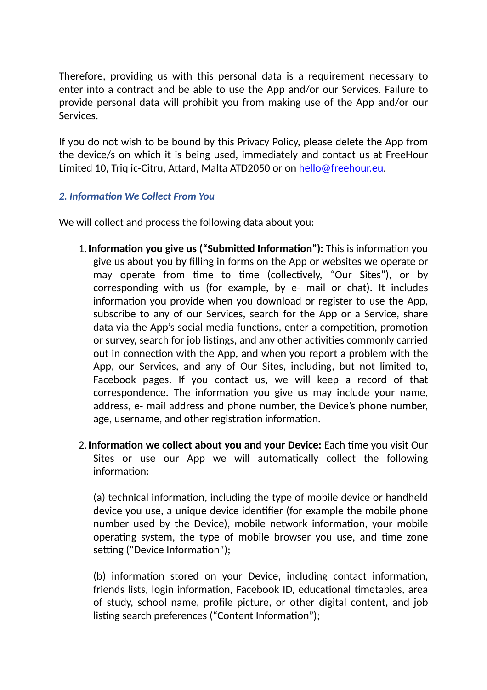Therefore, providing us with this personal data is a requirement necessary to enter into a contract and be able to use the App and/or our Services. Failure to provide personal data will prohibit you from making use of the App and/or our Services.

If you do not wish to be bound by this Privacy Policy, please delete the App from the device/s on which it is being used, immediately and contact us at FreeHour Limited 10, Triq ic-Citru, Attard, Malta ATD2050 or on [hello@freehour.eu](mailto:hello@freehour.eu).

## *2. Information We Collect From You*

We will collect and process the following data about you:

- 1.**Information you give us ("Submitted Information"):** This is information you give us about you by filling in forms on the App or websites we operate or may operate from time to time (collectively, "Our Sites"), or by corresponding with us (for example, by e- mail or chat). It includes information you provide when you download or register to use the App, subscribe to any of our Services, search for the App or a Service, share data via the App's social media functions, enter a competition, promotion or survey, search for job listings, and any other activities commonly carried out in connection with the App, and when you report a problem with the App, our Services, and any of Our Sites, including, but not limited to, Facebook pages. If you contact us, we will keep a record of that correspondence. The information you give us may include your name, address, e- mail address and phone number, the Device's phone number, age, username, and other registration information.
- 2.**Information we collect about you and your Device:** Each time you visit Our Sites or use our App we will automatically collect the following information:

(a) technical information, including the type of mobile device or handheld device you use, a unique device identifier (for example the mobile phone number used by the Device), mobile network information, your mobile operating system, the type of mobile browser you use, and time zone setting ("Device Information");

(b) information stored on your Device, including contact information, friends lists, login information, Facebook ID, educational timetables, area of study, school name, profile picture, or other digital content, and job listing search preferences ("Content Information");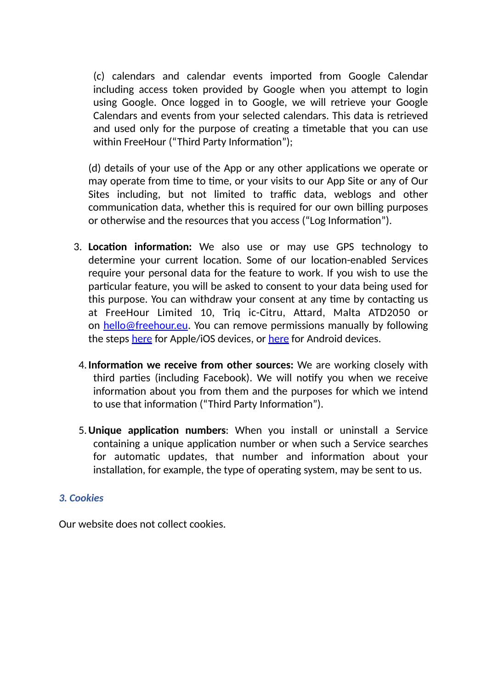(c) calendars and calendar events imported from Google Calendar including access token provided by Google when you attempt to login using Google. Once logged in to Google, we will retrieve your Google Calendars and events from your selected calendars. This data is retrieved and used only for the purpose of creating a timetable that you can use within FreeHour ("Third Party Information");

(d) details of your use of the App or any other applications we operate or may operate from time to time, or your visits to our App Site or any of Our Sites including, but not limited to traffic data, weblogs and other communication data, whether this is required for our own billing purposes or otherwise and the resources that you access ("Log Information").

- 3. **Location information:** We also use or may use GPS technology to determine your current location. Some of our location-enabled Services require your personal data for the feature to work. If you wish to use the particular feature, you will be asked to consent to your data being used for this purpose. You can withdraw your consent at any time by contacting us at FreeHour Limited 10, Triq ic-Citru, Attard, Malta ATD2050 or on [hello@freehour.eu.](mailto:hello@freehour.eu) You can remove permissions manually by following the steps [here](https://support.apple.com/en-us/HT207092) for Apple/iOS devices, or [here](https://support.google.com/android/answer/9431959?hl=en) for Android devices.
- 4.**Information we receive from other sources:** We are working closely with third parties (including Facebook). We will notify you when we receive information about you from them and the purposes for which we intend to use that information ("Third Party Information").
- 5.**Unique application numbers**: When you install or uninstall a Service containing a unique application number or when such a Service searches for automatic updates, that number and information about your installation, for example, the type of operating system, may be sent to us.

## *3. Cookies*

Our website does not collect cookies.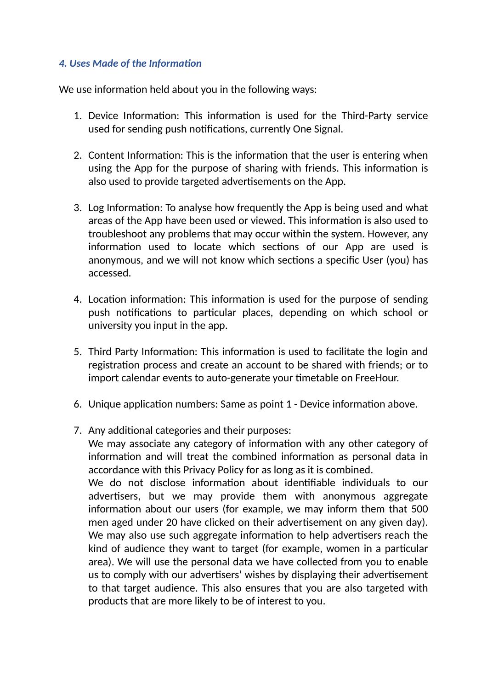## *4. Uses Made of the Information*

We use information held about you in the following ways:

- 1. Device Information: This information is used for the Third-Party service used for sending push notifications, currently One Signal.
- 2. Content Information: This is the information that the user is entering when using the App for the purpose of sharing with friends. This information is also used to provide targeted advertisements on the App.
- 3. Log Information: To analyse how frequently the App is being used and what areas of the App have been used or viewed. This information is also used to troubleshoot any problems that may occur within the system. However, any information used to locate which sections of our App are used is anonymous, and we will not know which sections a specific User (you) has accessed.
- 4. Location information: This information is used for the purpose of sending push notifications to particular places, depending on which school or university you input in the app.
- 5. Third Party Information: This information is used to facilitate the login and registration process and create an account to be shared with friends; or to import calendar events to auto-generate your timetable on FreeHour.
- 6. Unique application numbers: Same as point 1 Device information above.
- 7. Any additional categories and their purposes:

We may associate any category of information with any other category of information and will treat the combined information as personal data in accordance with this Privacy Policy for as long as it is combined.

We do not disclose information about identifiable individuals to our advertisers, but we may provide them with anonymous aggregate information about our users (for example, we may inform them that 500 men aged under 20 have clicked on their advertisement on any given day). We may also use such aggregate information to help advertisers reach the kind of audience they want to target (for example, women in a particular area). We will use the personal data we have collected from you to enable us to comply with our advertisers' wishes by displaying their advertisement to that target audience. This also ensures that you are also targeted with products that are more likely to be of interest to you.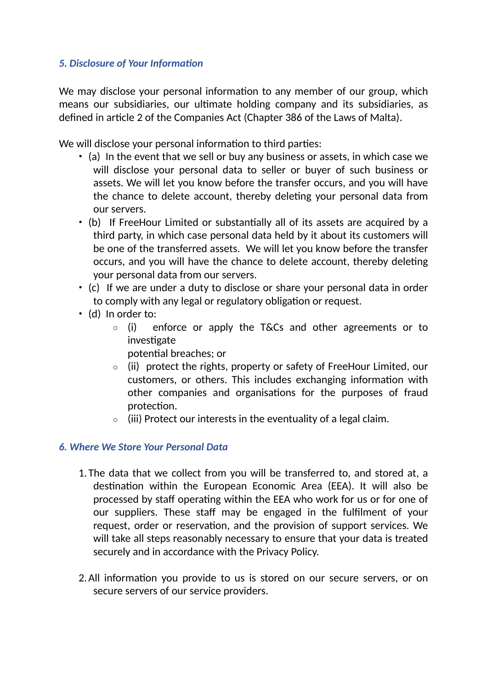## *5. Disclosure of Your Information*

We may disclose your personal information to any member of our group, which means our subsidiaries, our ultimate holding company and its subsidiaries, as defined in article 2 of the Companies Act (Chapter 386 of the Laws of Malta).

We will disclose your personal information to third parties:

- (a) In the event that we sell or buy any business or assets, in which case we will disclose your personal data to seller or buyer of such business or assets. We will let you know before the transfer occurs, and you will have the chance to delete account, thereby deleting your personal data from our servers.
- (b) If FreeHour Limited or substantially all of its assets are acquired by a third party, in which case personal data held by it about its customers will be one of the transferred assets. We will let you know before the transfer occurs, and you will have the chance to delete account, thereby deleting your personal data from our servers.
- (c) If we are under a duty to disclose or share your personal data in order to comply with any legal or regulatory obligation or request.
- (d) In order to:
	- o (i) enforce or apply the T&Cs and other agreements or to investigate
		- potential breaches; or
	- o (ii) protect the rights, property or safety of FreeHour Limited, our customers, or others. This includes exchanging information with other companies and organisations for the purposes of fraud protection.
	- $\circ$  (iii) Protect our interests in the eventuality of a legal claim.

## *6. Where We Store Your Personal Data*

- 1. The data that we collect from you will be transferred to, and stored at, a destination within the European Economic Area (EEA). It will also be processed by staff operating within the EEA who work for us or for one of our suppliers. These staff may be engaged in the fulfilment of your request, order or reservation, and the provision of support services. We will take all steps reasonably necessary to ensure that your data is treated securely and in accordance with the Privacy Policy.
- 2.All information you provide to us is stored on our secure servers, or on secure servers of our service providers.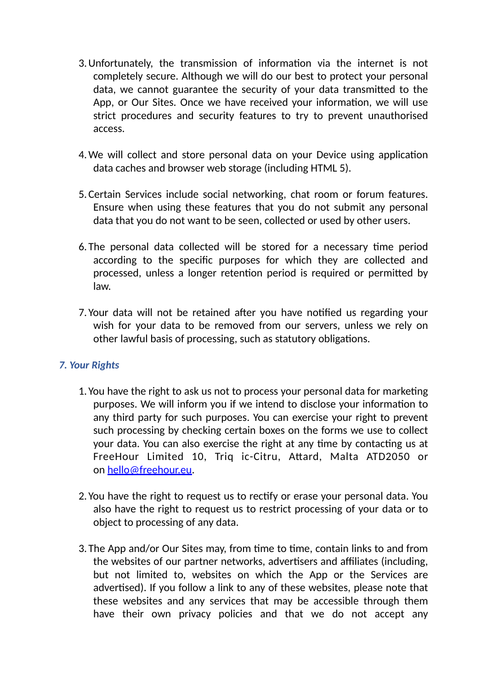- 3.Unfortunately, the transmission of information via the internet is not completely secure. Although we will do our best to protect your personal data, we cannot guarantee the security of your data transmitted to the App, or Our Sites. Once we have received your information, we will use strict procedures and security features to try to prevent unauthorised access.
- 4.We will collect and store personal data on your Device using application data caches and browser web storage (including HTML 5).
- 5.Certain Services include social networking, chat room or forum features. Ensure when using these features that you do not submit any personal data that you do not want to be seen, collected or used by other users.
- 6. The personal data collected will be stored for a necessary time period according to the specific purposes for which they are collected and processed, unless a longer retention period is required or permitted by law.
- 7. Your data will not be retained after you have notified us regarding your wish for your data to be removed from our servers, unless we rely on other lawful basis of processing, such as statutory obligations.

## *7. Your Rights*

- 1. You have the right to ask us not to process your personal data for marketing purposes. We will inform you if we intend to disclose your information to any third party for such purposes. You can exercise your right to prevent such processing by checking certain boxes on the forms we use to collect your data. You can also exercise the right at any time by contacting us at FreeHour Limited 10, Triq ic-Citru, Attard, Malta ATD2050 or on [hello@freehour.eu](mailto:hello@freehour.eu).
- 2. You have the right to request us to rectify or erase your personal data. You also have the right to request us to restrict processing of your data or to object to processing of any data.
- 3. The App and/or Our Sites may, from time to time, contain links to and from the websites of our partner networks, advertisers and affiliates (including, but not limited to, websites on which the App or the Services are advertised). If you follow a link to any of these websites, please note that these websites and any services that may be accessible through them have their own privacy policies and that we do not accept any